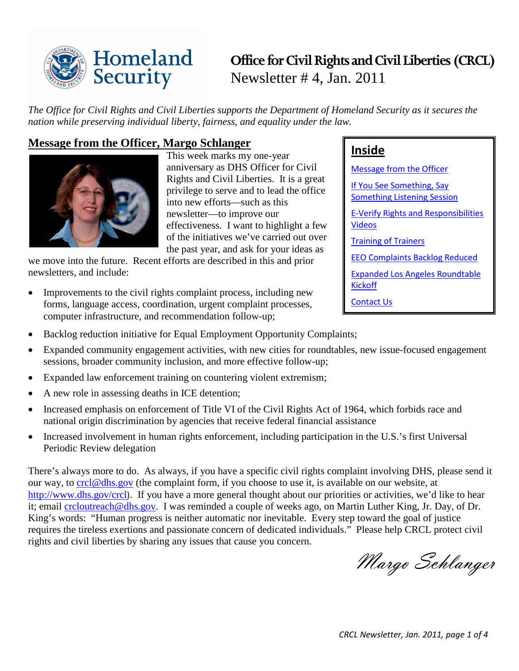

# **Office for Civil Rights and Civil Liberties (CRCL)**  Newsletter # 4, Jan. 2011

 *The Office for Civil Rights and Civil Liberties supports the Department of Homeland Security as it secures the nation while preserving individual liberty, fairness, and equality under the law.* 

## <span id="page-0-0"></span>**Message from the Officer, Margo Schlanger**



 Rights and Civil Liberties. It is a great effectiveness. I want to highlight a few This week marks my one-year anniversary as DHS Officer for Civil privilege to serve and to lead the office into new efforts—such as this newsletter—to improve our of the initiatives we've carried out over the past year, and ask for your ideas as

 newsletters, and include: we move into the future. Recent efforts are described in this and prior

 computer infrastructure, and recommendation follow-up; Improvements to the civil rights complaint process, including new forms, language access, coordination, urgent complaint processes,

### **Inside**  [Message from the Officer](#page-0-0)

[If You See Something, Say](#page-1-0)  [Something Listening Session](#page-1-0)  [E-Verify Rights and Responsibilities](#page-1-1)  [Videos](#page-1-1)  [Training of Trainers](#page-1-2)  [EEO Complaints Backlog Reduced](#page-2-0) 

[Expanded Los Angeles Roundtable](#page-2-1)  [Kickoff](#page-2-1) 

[Contact Us](#page-3-0) 

- Backlog reduction initiative for Equal Employment Opportunity Complaints;
- sessions, broader community inclusion, and more effective follow-up; Expanded community engagement activities, with new cities for roundtables, new issue-focused engagement
- Expanded law enforcement training on countering violent extremism;
- A new role in assessing deaths in ICE detention;
- Increased emphasis on enforcement of Title VI of the Civil Rights Act of 1964, which forbids race and national origin discrimination by agencies that receive federal financial assistance
- Increased involvement in human rights enforcement, including participation in the U.S.'s first Universal Periodic Review delegation

<http://www.dhs.gov/crcl>). If you have a more general thought about our priorities or activities, we'd like to hear King's words: "Human progress is neither automatic nor inevitable. Every step toward the goal of justice requires the tireless exertions and passionate concern of dedicated individuals." Please help CRCL protect civil rights and civil liberties by sharing any issues that cause you concern. There's always more to do. As always, if you have a specific civil rights complaint involving DHS, please send it our way, to [crcl@dhs.gov](mailto:crcl@dhs.gov) (the complaint form, if you choose to use it, is available on our website, at it; email [crcloutreach@dhs.gov.](mailto:crcloutreach@dhs.gov) I was reminded a couple of weeks ago, on Martin Luther King, Jr. Day, of Dr.

Margo Schlanger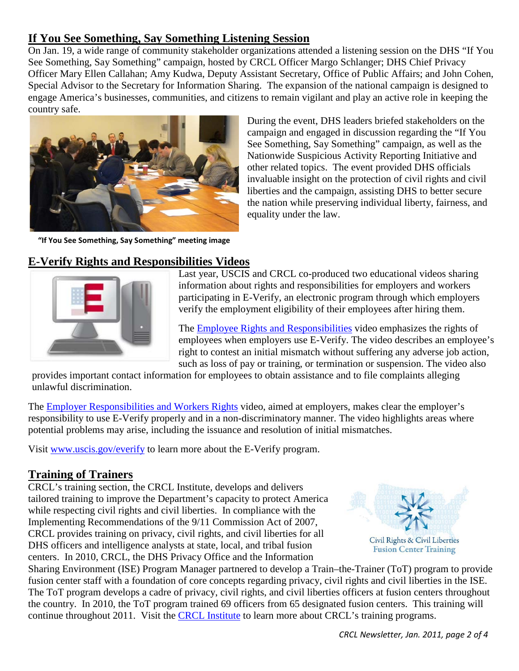## <span id="page-1-0"></span>**If You See Something, Say Something Listening Session**

 Special Advisor to the Secretary for Information Sharing. The expansion of the national campaign is designed to On Jan. 19, a wide range of community stakeholder organizations attended a listening session on the DHS "If You See Something, Say Something" campaign, hosted by CRCL Officer Margo Schlanger; DHS Chief Privacy Officer Mary Ellen Callahan; Amy Kudwa, Deputy Assistant Secretary, Office of Public Affairs; and John Cohen, engage America's businesses, communities, and citizens to remain vigilant and play an active role in keeping the country safe.



**"If You See Something, Say Something" meeting image** 

During the event, DHS leaders briefed stakeholders on the campaign and engaged in discussion regarding the "If You See Something, Say Something" campaign, as well as the Nationwide Suspicious Activity Reporting Initiative and other related topics. The event provided DHS officials invaluable insight on the protection of civil rights and civil liberties and the campaign, assisting DHS to better secure the nation while preserving individual liberty, fairness, and equality under the law.

## <span id="page-1-1"></span>**E-Verify Rights and Responsibilities Videos**



 information about rights and responsibilities for employers and workers verify the employment eligibility of their employees after hiring them. Last year, USCIS and CRCL co-produced two educational videos sharing participating in E-Verify, an electronic program through which employers

The [Employee Rights and Responsibilities](http://www.uscis.gov/portal/site/uscis/menuitem.5af9bb95919f35e66f614176543f6d1a/?vgnextoid=8e8e5bf7aa347210VgnVCM100000082ca60aRCRD&vgnextchannel=51ee4df6afc67210VgnVCM100000082ca60aRCRD) video emphasizes the rights of employees when employers use E-Verify. The video describes an employee's right to contest an initial mismatch without suffering any adverse job action, such as loss of pay or training, or termination or suspension. The video also

provides important contact information for employees to obtain assistance and to file complaints alleging unlawful discrimination.

The [Employer Responsibilities and Workers Rights](http://www.uscis.gov/portal/site/uscis/menuitem.5af9bb95919f35e66f614176543f6d1a/?vgnextoid=8e8e5bf7aa347210VgnVCM100000082ca60aRCRD&vgnextchannel=51ee4df6afc67210VgnVCM100000082ca60aRCRD) video, aimed at employers, makes clear the employer's responsibility to use E-Verify properly and in a non-discriminatory manner. The video highlights areas where potential problems may arise, including the issuance and resolution of initial mismatches.

Visit [www.uscis.gov/everify](http://www.uscis.gov/everify) to learn more about the E-Verify program.

#### <span id="page-1-2"></span>**Training of Trainers**

 centers. In 2010, CRCL, the DHS Privacy Office and the Information CRCL's training section, the CRCL Institute, develops and delivers tailored training to improve the Department's capacity to protect America while respecting civil rights and civil liberties. In compliance with the Implementing Recommendations of the 9/11 Commission Act of 2007, CRCL provides training on privacy, civil rights, and civil liberties for all DHS officers and intelligence analysts at state, local, and tribal fusion



Civil Rights & Civil Liberties **Fusion Center Training** 

 fusion center staff with a foundation of core concepts regarding privacy, civil rights and civil liberties in the ISE. Sharing Environment (ISE) Program Manager partnered to develop a Train–the-Trainer (ToT) program to provide The ToT program develops a cadre of privacy, civil rights, and civil liberties officers at fusion centers throughout the country. In 2010, the ToT program trained 69 officers from 65 designated fusion centers. This training will continue throughout 2011. Visit the [CRCL Institute](http://www.dhs.gov/xabout/structure/gc_1282160124874.shtm) to learn more about CRCL's training programs.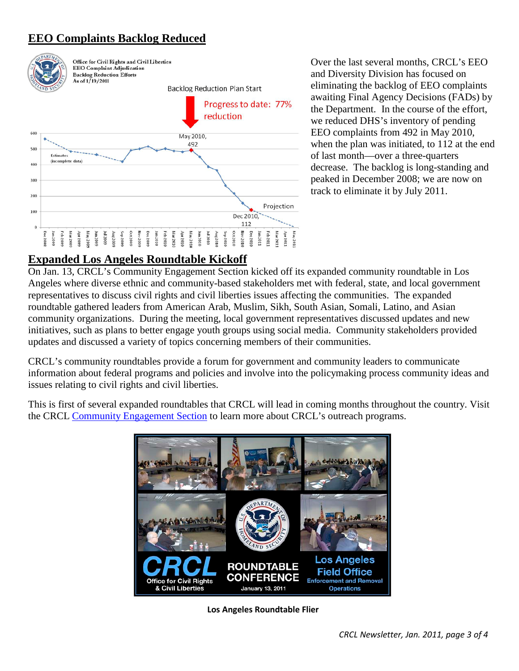## <span id="page-2-0"></span>**EEO Complaints Backlog Reduced**



 the Department. In the course of the effort, decrease. The backlog is long-standing and Over the last several months, CRCL's EEO and Diversity Division has focused on eliminating the backlog of EEO complaints awaiting Final Agency Decisions (FADs) by we reduced DHS's inventory of pending EEO complaints from 492 in May 2010, when the plan was initiated, to 112 at the end of last month—over a three-quarters peaked in December 2008; we are now on track to eliminate it by July 2011.

#### <span id="page-2-1"></span>**Expanded Los Angeles Roundtable Kickoff**

 Angeles where diverse ethnic and community-based stakeholders met with federal, state, and local government community organizations. During the meeting, local government representatives discussed updates and new On Jan. 13, CRCL's Community Engagement Section kicked off its expanded community roundtable in Los representatives to discuss civil rights and civil liberties issues affecting the communities. The expanded roundtable gathered leaders from American Arab, Muslim, Sikh, South Asian, Somali, Latino, and Asian initiatives, such as plans to better engage youth groups using social media. Community stakeholders provided updates and discussed a variety of topics concerning members of their communities.

CRCL's community roundtables provide a forum for government and community leaders to communicate information about federal programs and policies and involve into the policymaking process community ideas and issues relating to civil rights and civil liberties.

 This is first of several expanded roundtables that CRCL will lead in coming months throughout the country. Visit the CRCL [Community Engagement Section](http://www.dhs.gov/xabout/structure/gc_1273873058706.shtm) to learn more about CRCL's outreach programs.



**Los Angeles Roundtable Flier**